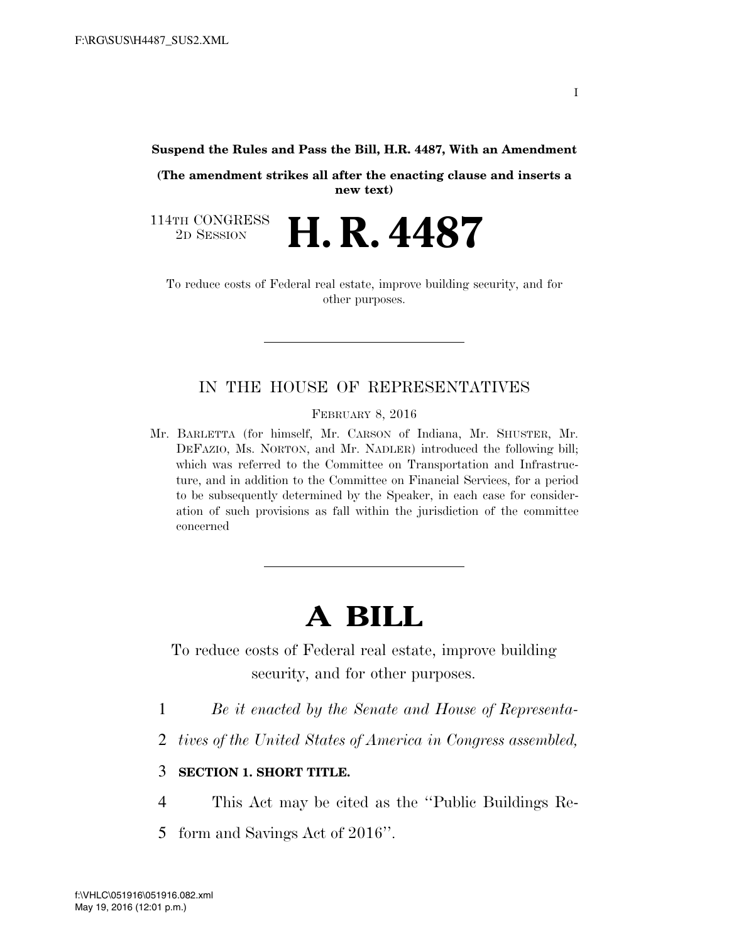#### **Suspend the Rules and Pass the Bill, H.R. 4487, With an Amendment**

**(The amendment strikes all after the enacting clause and inserts a new text)** 

114TH CONGRESS<br>2D SESSION 2D SESSION **H. R. 4487** 

To reduce costs of Federal real estate, improve building security, and for other purposes.

# IN THE HOUSE OF REPRESENTATIVES

FEBRUARY 8, 2016

Mr. BARLETTA (for himself, Mr. CARSON of Indiana, Mr. SHUSTER, Mr. DEFAZIO, Ms. NORTON, and Mr. NADLER) introduced the following bill; which was referred to the Committee on Transportation and Infrastructure, and in addition to the Committee on Financial Services, for a period to be subsequently determined by the Speaker, in each case for consideration of such provisions as fall within the jurisdiction of the committee concerned

# **A BILL**

To reduce costs of Federal real estate, improve building security, and for other purposes.

- 1 *Be it enacted by the Senate and House of Representa-*
- 2 *tives of the United States of America in Congress assembled,*

# 3 **SECTION 1. SHORT TITLE.**

- 4 This Act may be cited as the ''Public Buildings Re-
- 5 form and Savings Act of 2016''.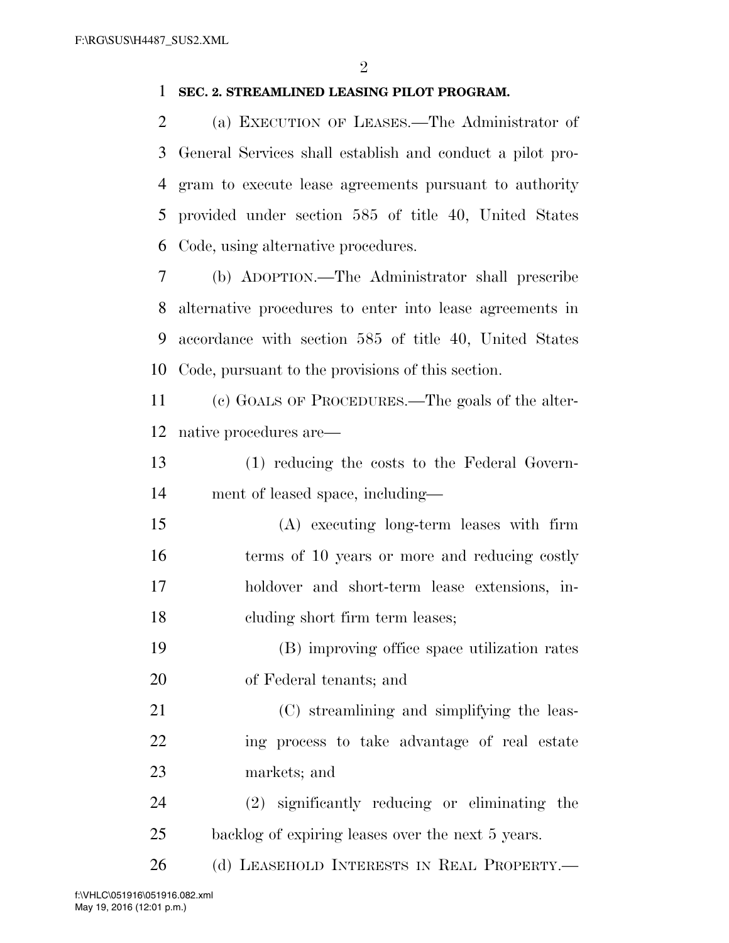# **SEC. 2. STREAMLINED LEASING PILOT PROGRAM.**

 (a) EXECUTION OF LEASES.—The Administrator of General Services shall establish and conduct a pilot pro- gram to execute lease agreements pursuant to authority provided under section 585 of title 40, United States Code, using alternative procedures.

 (b) ADOPTION.—The Administrator shall prescribe alternative procedures to enter into lease agreements in accordance with section 585 of title 40, United States Code, pursuant to the provisions of this section.

 (c) GOALS OF PROCEDURES.—The goals of the alter-native procedures are—

 (1) reducing the costs to the Federal Govern-ment of leased space, including—

 (A) executing long-term leases with firm 16 terms of 10 years or more and reducing costly holdover and short-term lease extensions, in-cluding short firm term leases;

 (B) improving office space utilization rates of Federal tenants; and

 (C) streamlining and simplifying the leas- ing process to take advantage of real estate markets; and

 (2) significantly reducing or eliminating the backlog of expiring leases over the next 5 years.

26 (d) LEASEHOLD INTERESTS IN REAL PROPERTY.—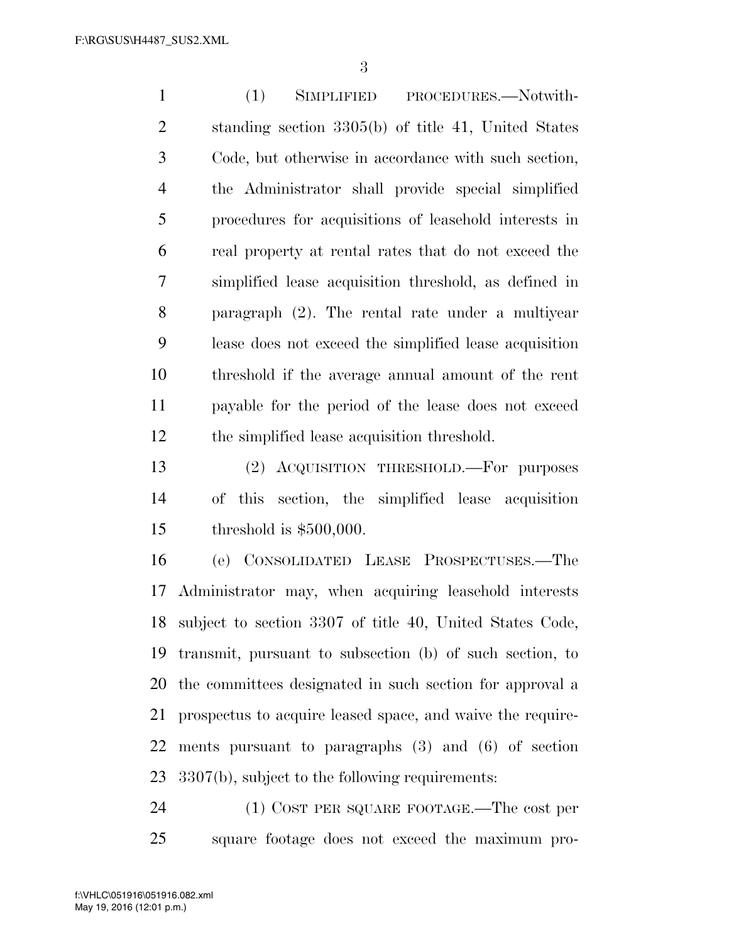(1) SIMPLIFIED PROCEDURES.—Notwith- standing section 3305(b) of title 41, United States Code, but otherwise in accordance with such section, the Administrator shall provide special simplified procedures for acquisitions of leasehold interests in real property at rental rates that do not exceed the simplified lease acquisition threshold, as defined in paragraph (2). The rental rate under a multiyear lease does not exceed the simplified lease acquisition threshold if the average annual amount of the rent payable for the period of the lease does not exceed the simplified lease acquisition threshold.

 (2) ACQUISITION THRESHOLD.—For purposes of this section, the simplified lease acquisition threshold is \$500,000.

 (e) CONSOLIDATED LEASE PROSPECTUSES.—The Administrator may, when acquiring leasehold interests subject to section 3307 of title 40, United States Code, transmit, pursuant to subsection (b) of such section, to the committees designated in such section for approval a prospectus to acquire leased space, and waive the require- ments pursuant to paragraphs (3) and (6) of section 3307(b), subject to the following requirements:

 (1) COST PER SQUARE FOOTAGE.—The cost per square footage does not exceed the maximum pro-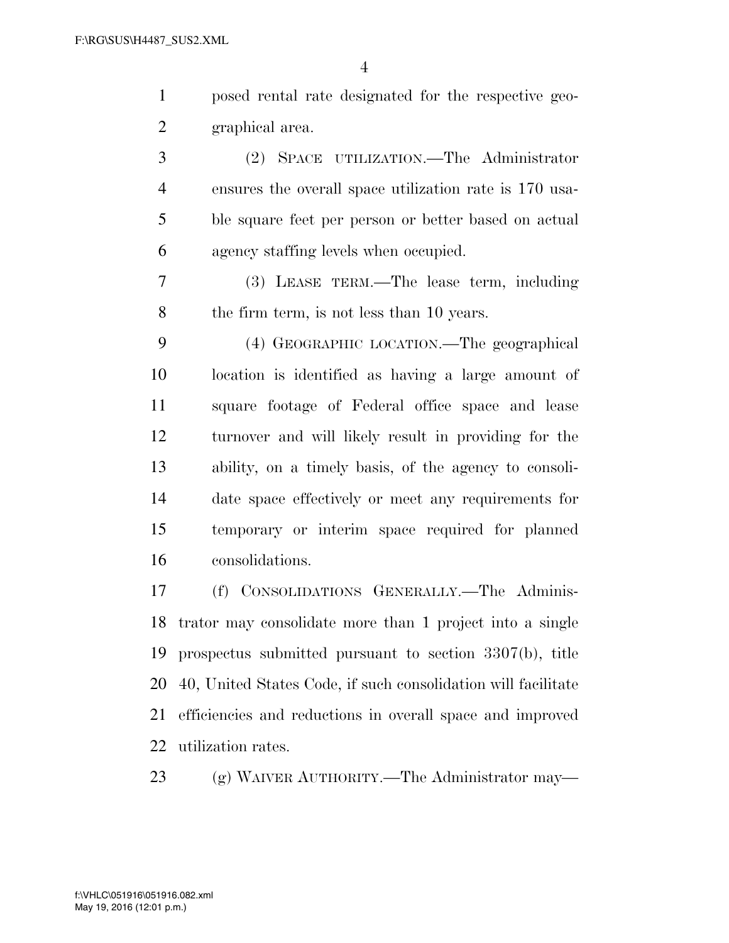|                | $\overline{4}$                                              |
|----------------|-------------------------------------------------------------|
| $\mathbf{1}$   | posed rental rate designated for the respective geo-        |
| $\overline{2}$ | graphical area.                                             |
| 3              | (2) SPACE UTILIZATION.—The Administrator                    |
| $\overline{4}$ | ensures the overall space utilization rate is 170 usa-      |
| 5              | ble square feet per person or better based on actual        |
| 6              | agency staffing levels when occupied.                       |
| 7              | (3) LEASE TERM.—The lease term, including                   |
| 8              | the firm term, is not less than 10 years.                   |
| 9              | (4) GEOGRAPHIC LOCATION.—The geographical                   |
| 10             | location is identified as having a large amount of          |
| 11             | square footage of Federal office space and lease            |
| 12             | turnover and will likely result in providing for the        |
| 13             | ability, on a timely basis, of the agency to consoli-       |
| 14             | date space effectively or meet any requirements for         |
| 15             | temporary or interim space required for planned             |
| 16             | consolidations.                                             |
| 17             | (f) CONSOLIDATIONS GENERALLY.-The Adminis-                  |
|                | 18 trator may consolidate more than 1 project into a single |

 trator may consolidate more than 1 project into a single prospectus submitted pursuant to section 3307(b), title 40, United States Code, if such consolidation will facilitate efficiencies and reductions in overall space and improved utilization rates.

(g) WAIVER AUTHORITY.—The Administrator may—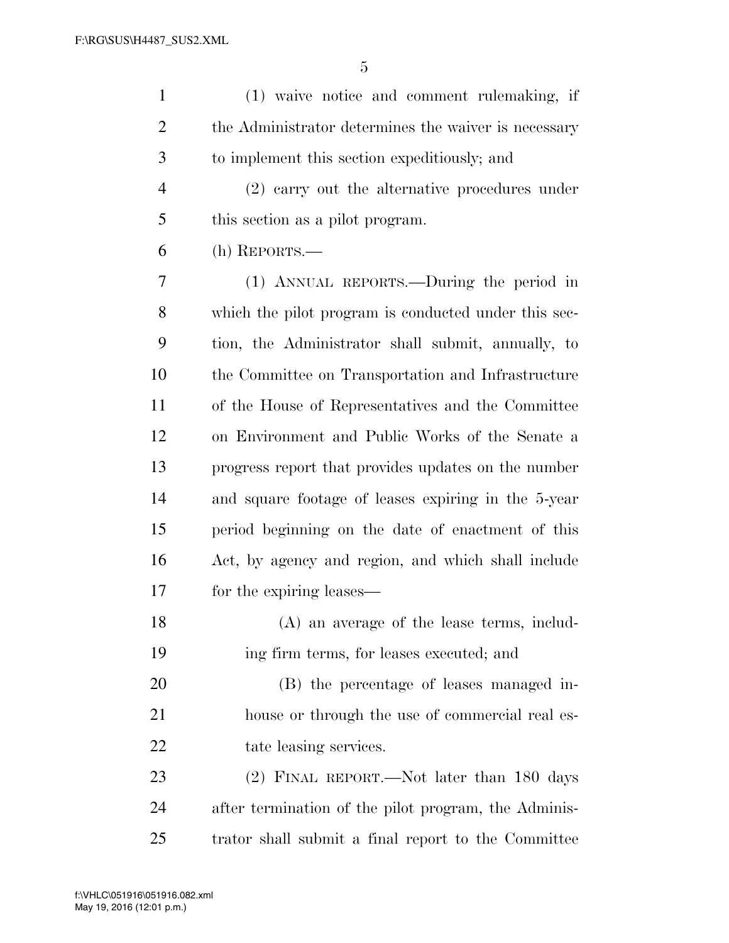| $\mathbf{1}$   | (1) waive notice and comment rulemaking, if          |
|----------------|------------------------------------------------------|
| $\overline{c}$ | the Administrator determines the waiver is necessary |
| 3              | to implement this section expeditiously; and         |
| $\overline{4}$ | (2) carry out the alternative procedures under       |
| 5              | this section as a pilot program.                     |
| 6              | (h) REPORTS.-                                        |
| 7              | (1) ANNUAL REPORTS.—During the period in             |
| 8              | which the pilot program is conducted under this sec- |
| 9              | tion, the Administrator shall submit, annually, to   |
| 10             | the Committee on Transportation and Infrastructure   |
| 11             | of the House of Representatives and the Committee    |
| 12             | on Environment and Public Works of the Senate a      |
| 13             | progress report that provides updates on the number  |
| 14             | and square footage of leases expiring in the 5-year  |
| 15             | period beginning on the date of enactment of this    |
| 16             | Act, by agency and region, and which shall include   |
| 17             | for the expiring leases—                             |
| 18             | (A) an average of the lease terms, includ-           |
| 19             | ing firm terms, for leases executed; and             |
| 20             | (B) the percentage of leases managed in-             |
| 21             | house or through the use of commercial real es-      |
| 22             | tate leasing services.                               |
| 23             | (2) FINAL REPORT.—Not later than 180 days            |
| 24             | after termination of the pilot program, the Adminis- |
| 25             | trator shall submit a final report to the Committee  |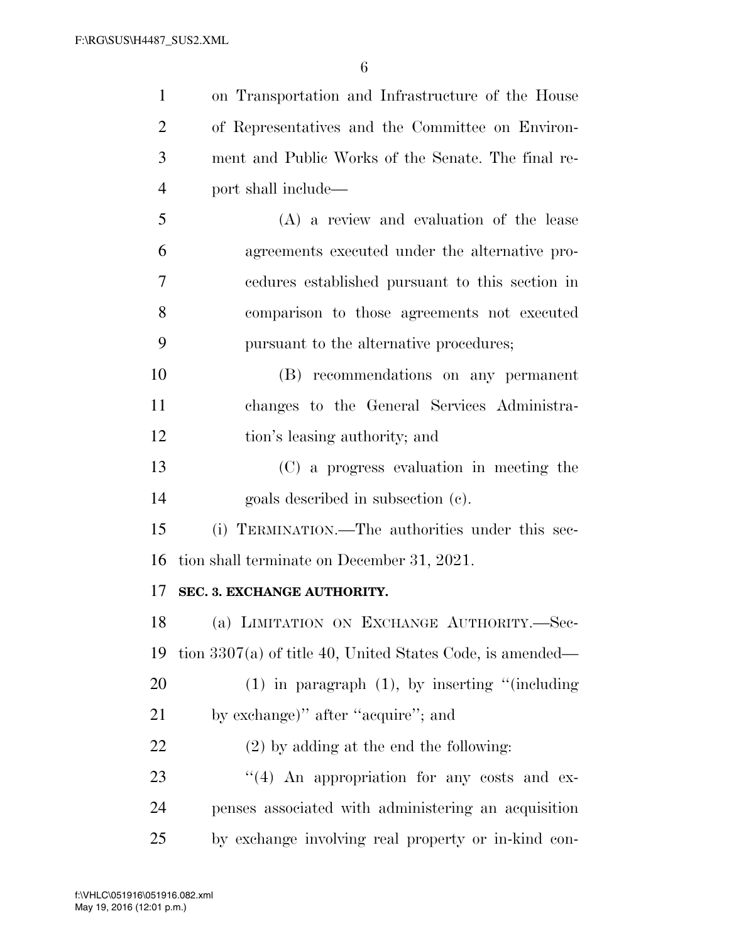| $\mathbf{1}$   | on Transportation and Infrastructure of the House           |
|----------------|-------------------------------------------------------------|
| $\overline{2}$ | of Representatives and the Committee on Environ-            |
| 3              | ment and Public Works of the Senate. The final re-          |
| $\overline{4}$ | port shall include—                                         |
| 5              | (A) a review and evaluation of the lease                    |
| 6              | agreements executed under the alternative pro-              |
| 7              | endures established pursuant to this section in             |
| 8              | comparison to those agreements not executed                 |
| 9              | pursuant to the alternative procedures;                     |
| 10             | (B) recommendations on any permanent                        |
| 11             | changes to the General Services Administra-                 |
| 12             | tion's leasing authority; and                               |
| 13             | (C) a progress evaluation in meeting the                    |
| 14             | goals described in subsection (c).                          |
| 15             | (i) TERMINATION.—The authorities under this sec-            |
| 16             | tion shall terminate on December 31, 2021.                  |
| 17             | SEC. 3. EXCHANGE AUTHORITY.                                 |
| 18             | (a) LIMITATION ON EXCHANGE AUTHORITY.-Sec-                  |
| 19             | tion $3307(a)$ of title 40, United States Code, is amended— |
| <b>20</b>      | $(1)$ in paragraph $(1)$ , by inserting "(including         |
| 21             | by exchange)" after "acquire"; and                          |
| 22             | $(2)$ by adding at the end the following:                   |
| 23             | $\lq(4)$ An appropriation for any costs and ex-             |
| 24             | penses associated with administering an acquisition         |
| 25             | by exchange involving real property or in-kind con-         |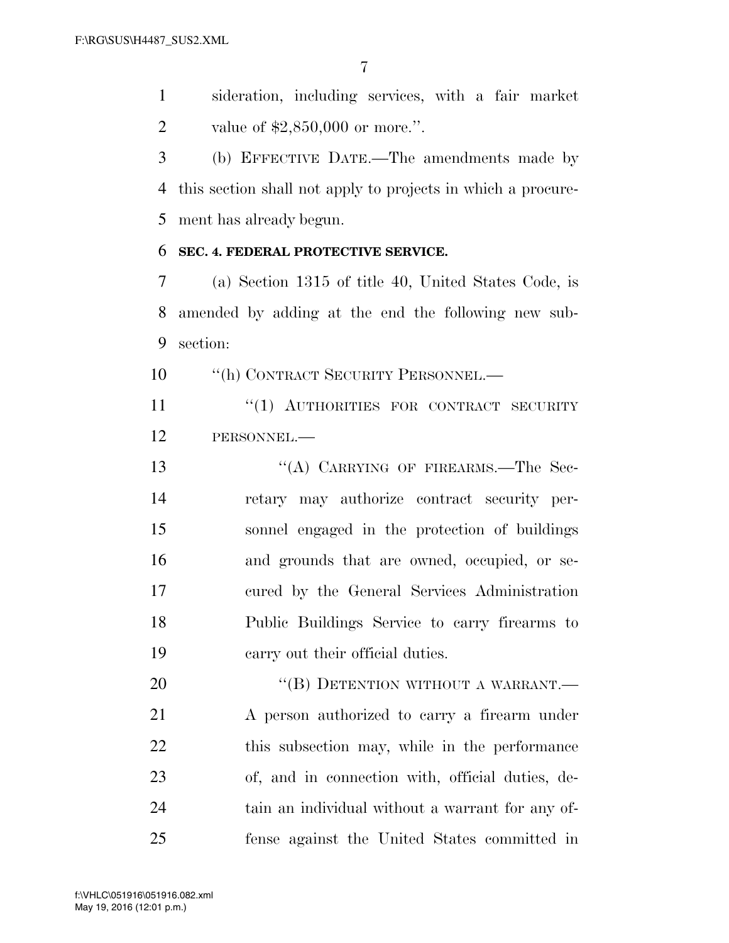sideration, including services, with a fair market value of \$2,850,000 or more.''.

 (b) EFFECTIVE DATE.—The amendments made by this section shall not apply to projects in which a procure-ment has already begun.

# **SEC. 4. FEDERAL PROTECTIVE SERVICE.**

 (a) Section 1315 of title 40, United States Code, is amended by adding at the end the following new sub-section:

10 "(h) CONTRACT SECURITY PERSONNEL.—

 ''(1) AUTHORITIES FOR CONTRACT SECURITY PERSONNEL.—

13 "(A) CARRYING OF FIREARMS.—The Sec- retary may authorize contract security per- sonnel engaged in the protection of buildings and grounds that are owned, occupied, or se- cured by the General Services Administration Public Buildings Service to carry firearms to carry out their official duties.

20 "(B) DETENTION WITHOUT A WARRANT. A person authorized to carry a firearm under 22 this subsection may, while in the performance of, and in connection with, official duties, de- tain an individual without a warrant for any of-fense against the United States committed in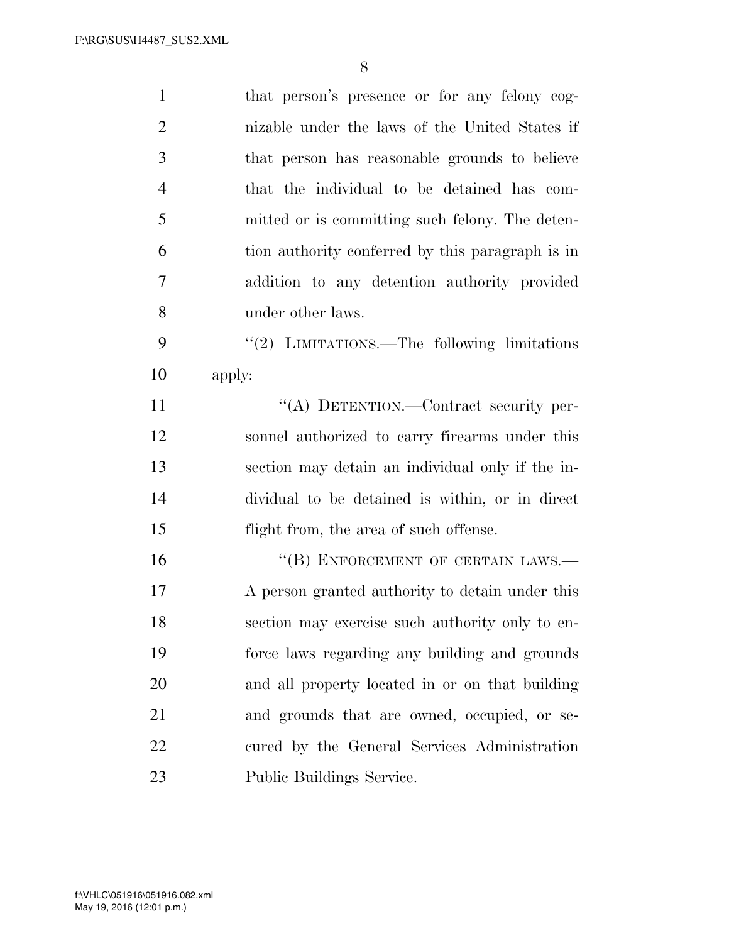| $\mathbf{1}$   | that person's presence or for any felony cog-    |
|----------------|--------------------------------------------------|
| $\overline{2}$ | nizable under the laws of the United States if   |
| 3              | that person has reasonable grounds to believe    |
| $\overline{4}$ | that the individual to be detained has com-      |
| 5              | mitted or is committing such felony. The deten-  |
| 6              | tion authority conferred by this paragraph is in |
| 7              | addition to any detention authority provided     |
| 8              | under other laws.                                |
| 9              | "(2) LIMITATIONS.—The following limitations      |
| 10             | apply:                                           |
| 11             | "(A) DETENTION.—Contract security per-           |
| 12             | sonnel authorized to carry firearms under this   |
| 13             | section may detain an individual only if the in- |
| 14             | dividual to be detained is within, or in direct  |
| 15             | flight from, the area of such offense.           |
| 16             | "(B) ENFORCEMENT OF CERTAIN LAWS.-               |
| 17             | A person granted authority to detain under this  |
| 18             | section may exercise such authority only to en-  |
| 19             | force laws regarding any building and grounds    |
| 20             | and all property located in or on that building  |
| 21             | and grounds that are owned, occupied, or se-     |
| 22             | cured by the General Services Administration     |
| 23             | Public Buildings Service.                        |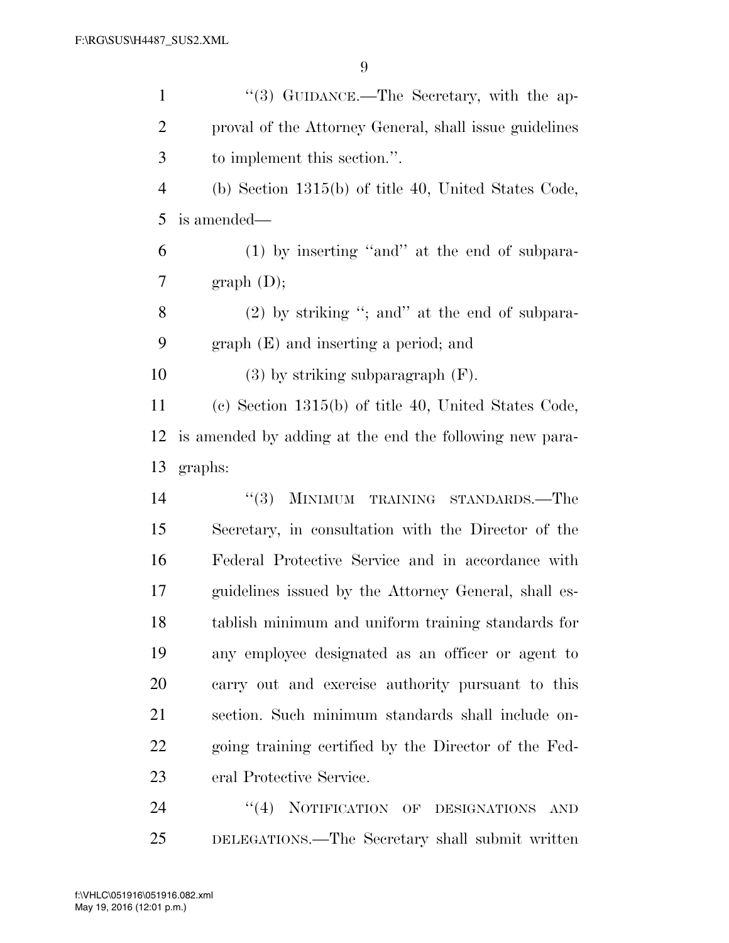| $\mathbf{1}$   | "(3) GUIDANCE.—The Secretary, with the ap-              |
|----------------|---------------------------------------------------------|
| $\overline{2}$ | proval of the Attorney General, shall issue guidelines  |
| 3              | to implement this section.".                            |
| $\overline{4}$ | (b) Section $1315(b)$ of title 40, United States Code,  |
| 5              | is amended—                                             |
| 6              | (1) by inserting "and" at the end of subpara-           |
| 7              | graph (D);                                              |
| 8              | $(2)$ by striking "; and" at the end of subpara-        |
| 9              | $graph(E)$ and inserting a period; and                  |
| 10             | $(3)$ by striking subparagraph $(F)$ .                  |
| 11             | (c) Section $1315(b)$ of title 40, United States Code,  |
| 12             | is amended by adding at the end the following new para- |
| 13             | graphs:                                                 |
| 14             | <b>MINIMUM</b><br>(3)<br>TRAINING STANDARDS.—The        |
| 15             | Secretary, in consultation with the Director of the     |
| 16             | Federal Protective Service and in accordance with       |
| 17             | guidelines issued by the Attorney General, shall es-    |
| 18             | tablish minimum and uniform training standards for      |
| 19             | any employee designated as an officer or agent to       |
| 20             | carry out and exercise authority pursuant to this       |
| 21             | section. Such minimum standards shall include on-       |
| 22             | going training certified by the Director of the Fed-    |
| 23             | eral Protective Service.                                |
| 24             | (4)<br>NOTIFICATION OF DESIGNATIONS<br><b>AND</b>       |
|                |                                                         |

DELEGATIONS.—The Secretary shall submit written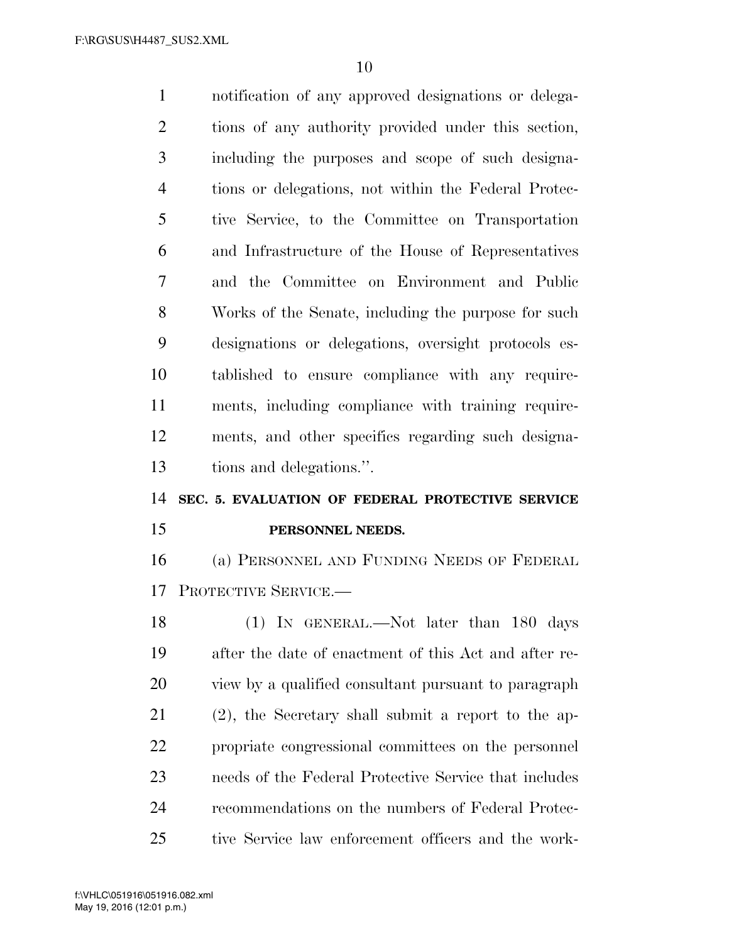notification of any approved designations or delega- tions of any authority provided under this section, including the purposes and scope of such designa- tions or delegations, not within the Federal Protec- tive Service, to the Committee on Transportation and Infrastructure of the House of Representatives and the Committee on Environment and Public Works of the Senate, including the purpose for such designations or delegations, oversight protocols es- tablished to ensure compliance with any require- ments, including compliance with training require- ments, and other specifics regarding such designa-tions and delegations.''.

# **SEC. 5. EVALUATION OF FEDERAL PROTECTIVE SERVICE PERSONNEL NEEDS.**

 (a) PERSONNEL AND FUNDING NEEDS OF FEDERAL PROTECTIVE SERVICE.—

18 (1) IN GENERAL.—Not later than 180 days after the date of enactment of this Act and after re- view by a qualified consultant pursuant to paragraph (2), the Secretary shall submit a report to the ap- propriate congressional committees on the personnel needs of the Federal Protective Service that includes recommendations on the numbers of Federal Protec-tive Service law enforcement officers and the work-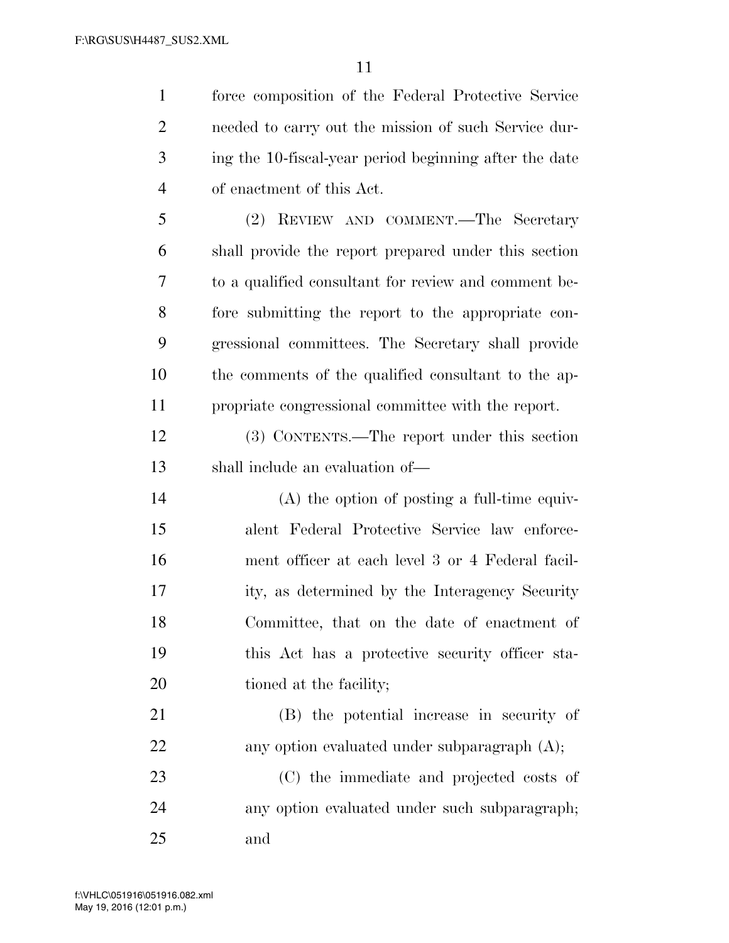force composition of the Federal Protective Service

 needed to carry out the mission of such Service dur- ing the 10-fiscal-year period beginning after the date of enactment of this Act. (2) REVIEW AND COMMENT.—The Secretary shall provide the report prepared under this section to a qualified consultant for review and comment be- fore submitting the report to the appropriate con- gressional committees. The Secretary shall provide the comments of the qualified consultant to the ap- propriate congressional committee with the report. (3) CONTENTS.—The report under this section shall include an evaluation of— (A) the option of posting a full-time equiv- alent Federal Protective Service law enforce- ment officer at each level 3 or 4 Federal facil- ity, as determined by the Interagency Security Committee, that on the date of enactment of this Act has a protective security officer sta-20 tioned at the facility; (B) the potential increase in security of 22 any option evaluated under subparagraph (A); (C) the immediate and projected costs of

 any option evaluated under such subparagraph; and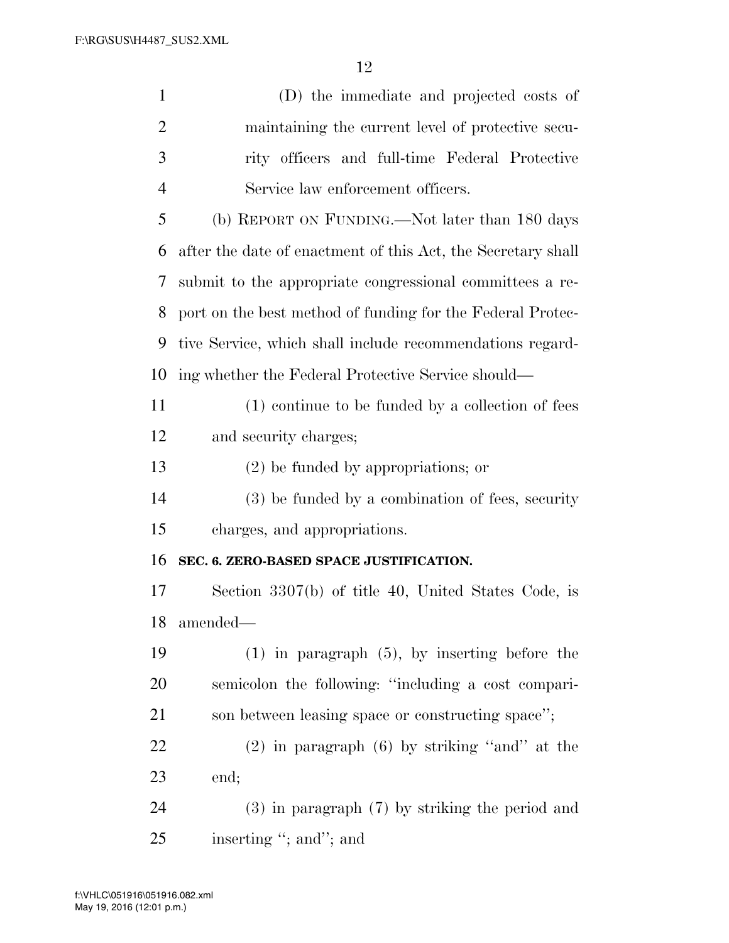| $\mathbf{1}$   | (D) the immediate and projected costs of                     |
|----------------|--------------------------------------------------------------|
| $\overline{2}$ | maintaining the current level of protective secu-            |
| 3              | rity officers and full-time Federal Protective               |
| $\overline{4}$ | Service law enforcement officers.                            |
| 5              | (b) REPORT ON FUNDING.—Not later than 180 days               |
| 6              | after the date of enactment of this Act, the Secretary shall |
| 7              | submit to the appropriate congressional committees a re-     |
| 8              | port on the best method of funding for the Federal Protec-   |
| 9              | tive Service, which shall include recommendations regard-    |
| 10             | ing whether the Federal Protective Service should—           |
| 11             | (1) continue to be funded by a collection of fees            |
| 12             | and security charges;                                        |
| 13             | $(2)$ be funded by appropriations; or                        |
| 14             | (3) be funded by a combination of fees, security             |
| 15             | charges, and appropriations.                                 |
| 16             | SEC. 6. ZERO-BASED SPACE JUSTIFICATION.                      |
| 17             | Section 3307(b) of title 40, United States Code, is          |
| 18             | amended—                                                     |
| 19             | $(1)$ in paragraph $(5)$ , by inserting before the           |
| 20             | semicolon the following: "including a cost compari-          |
| 21             | son between leasing space or constructing space";            |
| 22             | $(2)$ in paragraph $(6)$ by striking "and" at the            |
| 23             | end;                                                         |
| 24             | $(3)$ in paragraph $(7)$ by striking the period and          |
| 25             | inserting "; and"; and                                       |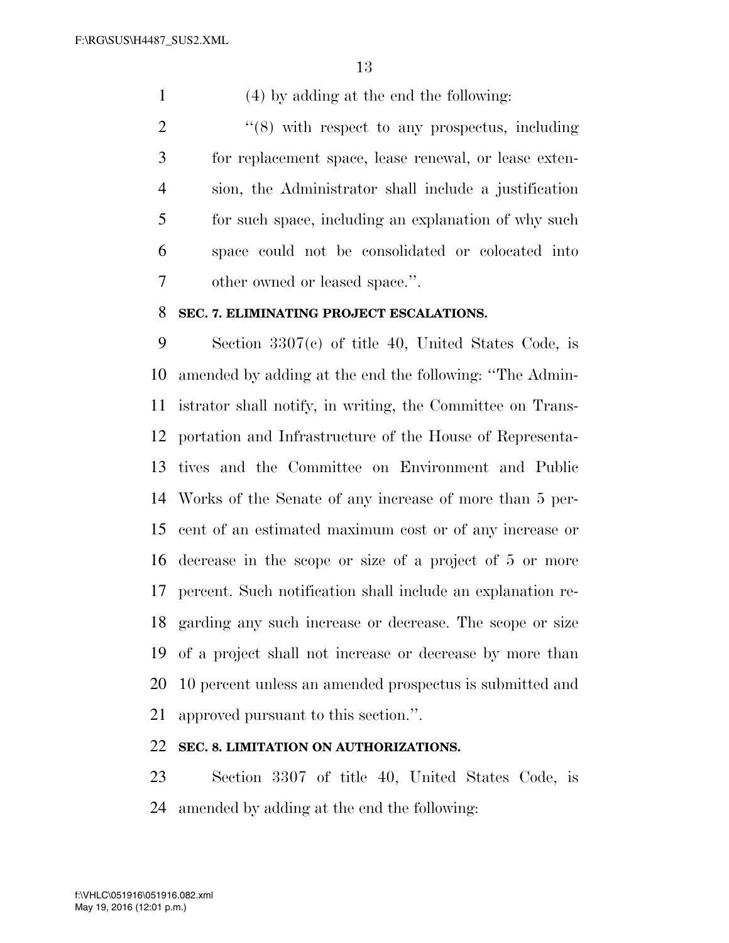(4) by adding at the end the following:

 ''(8) with respect to any prospectus, including for replacement space, lease renewal, or lease exten- sion, the Administrator shall include a justification for such space, including an explanation of why such space could not be consolidated or colocated into other owned or leased space.''.

### **SEC. 7. ELIMINATING PROJECT ESCALATIONS.**

 Section 3307(c) of title 40, United States Code, is amended by adding at the end the following: ''The Admin- istrator shall notify, in writing, the Committee on Trans- portation and Infrastructure of the House of Representa- tives and the Committee on Environment and Public Works of the Senate of any increase of more than 5 per- cent of an estimated maximum cost or of any increase or decrease in the scope or size of a project of 5 or more percent. Such notification shall include an explanation re- garding any such increase or decrease. The scope or size of a project shall not increase or decrease by more than 10 percent unless an amended prospectus is submitted and approved pursuant to this section.''.

# **SEC. 8. LIMITATION ON AUTHORIZATIONS.**

 Section 3307 of title 40, United States Code, is amended by adding at the end the following: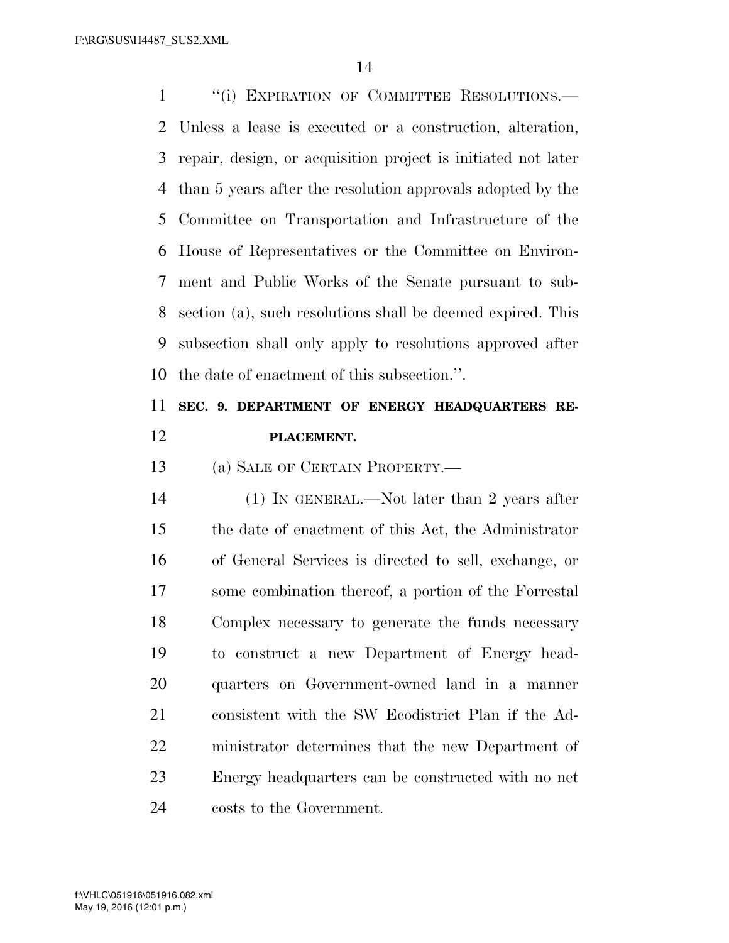1 "(i) EXPIRATION OF COMMITTEE RESOLUTIONS.— Unless a lease is executed or a construction, alteration, repair, design, or acquisition project is initiated not later than 5 years after the resolution approvals adopted by the Committee on Transportation and Infrastructure of the House of Representatives or the Committee on Environ- ment and Public Works of the Senate pursuant to sub- section (a), such resolutions shall be deemed expired. This subsection shall only apply to resolutions approved after the date of enactment of this subsection.''.

# **SEC. 9. DEPARTMENT OF ENERGY HEADQUARTERS RE-PLACEMENT.**

13 (a) SALE OF CERTAIN PROPERTY.

 (1) IN GENERAL.—Not later than 2 years after the date of enactment of this Act, the Administrator of General Services is directed to sell, exchange, or some combination thereof, a portion of the Forrestal Complex necessary to generate the funds necessary to construct a new Department of Energy head- quarters on Government-owned land in a manner consistent with the SW Ecodistrict Plan if the Ad- ministrator determines that the new Department of Energy headquarters can be constructed with no net costs to the Government.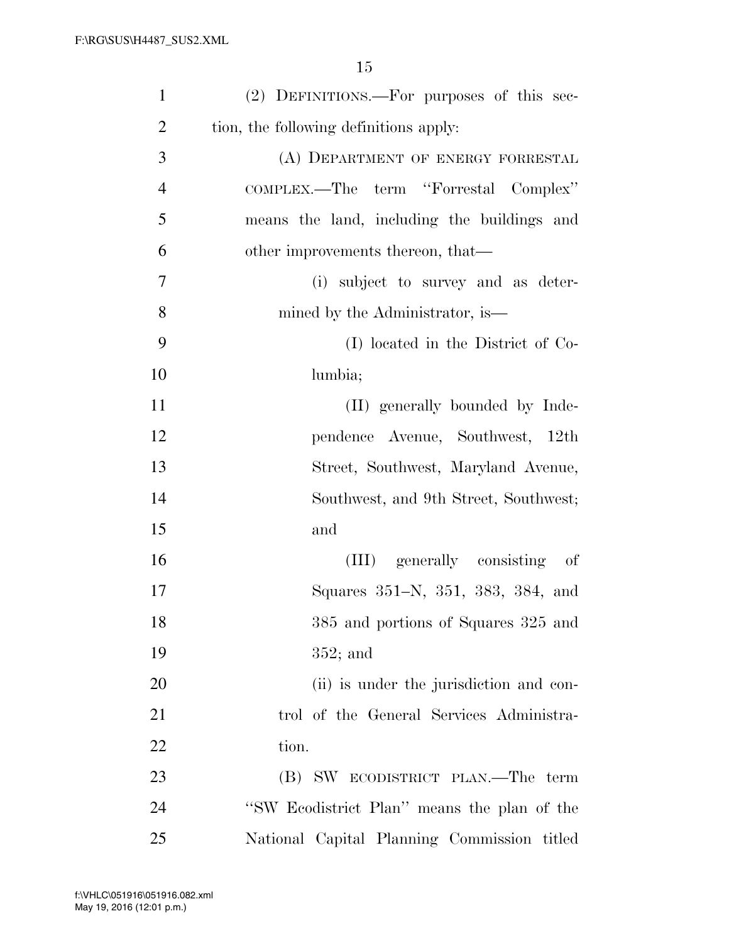| $\mathbf{1}$   | (2) DEFINITIONS.—For purposes of this sec-  |
|----------------|---------------------------------------------|
| $\overline{2}$ | tion, the following definitions apply:      |
| 3              | (A) DEPARTMENT OF ENERGY FORRESTAL          |
| $\overline{4}$ | COMPLEX.—The term "Forrestal Complex"       |
| 5              | means the land, including the buildings and |
| 6              | other improvements thereon, that—           |
| 7              | (i) subject to survey and as deter-         |
| 8              | mined by the Administrator, is—             |
| 9              | (I) located in the District of Co-          |
| 10             | lumbia;                                     |
| 11             | (II) generally bounded by Inde-             |
| 12             | pendence Avenue, Southwest, 12th            |
| 13             | Street, Southwest, Maryland Avenue,         |
| 14             | Southwest, and 9th Street, Southwest;       |
| 15             | and                                         |
| 16             | (III) generally consisting of               |
| 17             | Squares 351–N, 351, 383, 384, and           |
| 18             | 385 and portions of Squares 325 and         |
| 19             | $352;$ and                                  |
| 20             | (ii) is under the jurisdiction and con-     |
| 21             | trol of the General Services Administra-    |
| 22             | tion.                                       |
| 23             | (B) SW ECODISTRICT PLAN.—The term           |
| 24             | "SW Ecodistrict Plan" means the plan of the |
| 25             | National Capital Planning Commission titled |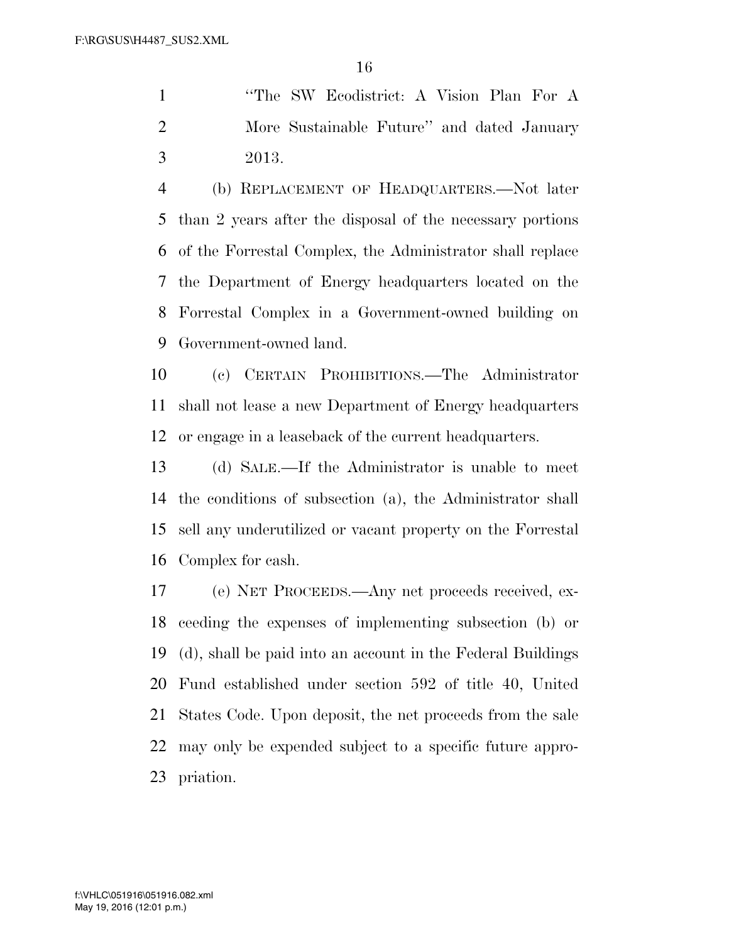''The SW Ecodistrict: A Vision Plan For A More Sustainable Future'' and dated January 2013.

 (b) REPLACEMENT OF HEADQUARTERS.—Not later than 2 years after the disposal of the necessary portions of the Forrestal Complex, the Administrator shall replace the Department of Energy headquarters located on the Forrestal Complex in a Government-owned building on Government-owned land.

 (c) CERTAIN PROHIBITIONS.—The Administrator shall not lease a new Department of Energy headquarters or engage in a leaseback of the current headquarters.

 (d) SALE.—If the Administrator is unable to meet the conditions of subsection (a), the Administrator shall sell any underutilized or vacant property on the Forrestal Complex for cash.

 (e) NET PROCEEDS.—Any net proceeds received, ex- ceeding the expenses of implementing subsection (b) or (d), shall be paid into an account in the Federal Buildings Fund established under section 592 of title 40, United States Code. Upon deposit, the net proceeds from the sale may only be expended subject to a specific future appro-priation.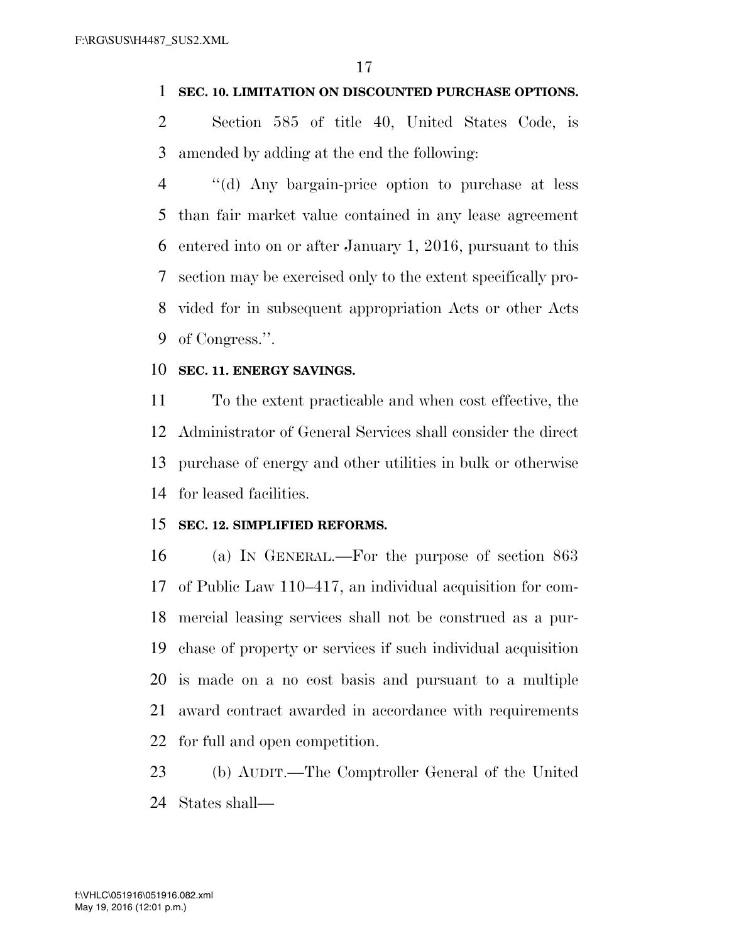### **SEC. 10. LIMITATION ON DISCOUNTED PURCHASE OPTIONS.**

 Section 585 of title 40, United States Code, is amended by adding at the end the following:

 ''(d) Any bargain-price option to purchase at less than fair market value contained in any lease agreement entered into on or after January 1, 2016, pursuant to this section may be exercised only to the extent specifically pro- vided for in subsequent appropriation Acts or other Acts 9 of Congress.".

### **SEC. 11. ENERGY SAVINGS.**

 To the extent practicable and when cost effective, the Administrator of General Services shall consider the direct purchase of energy and other utilities in bulk or otherwise for leased facilities.

### **SEC. 12. SIMPLIFIED REFORMS.**

 (a) IN GENERAL.—For the purpose of section 863 of Public Law 110–417, an individual acquisition for com- mercial leasing services shall not be construed as a pur- chase of property or services if such individual acquisition is made on a no cost basis and pursuant to a multiple award contract awarded in accordance with requirements for full and open competition.

 (b) AUDIT.—The Comptroller General of the United States shall—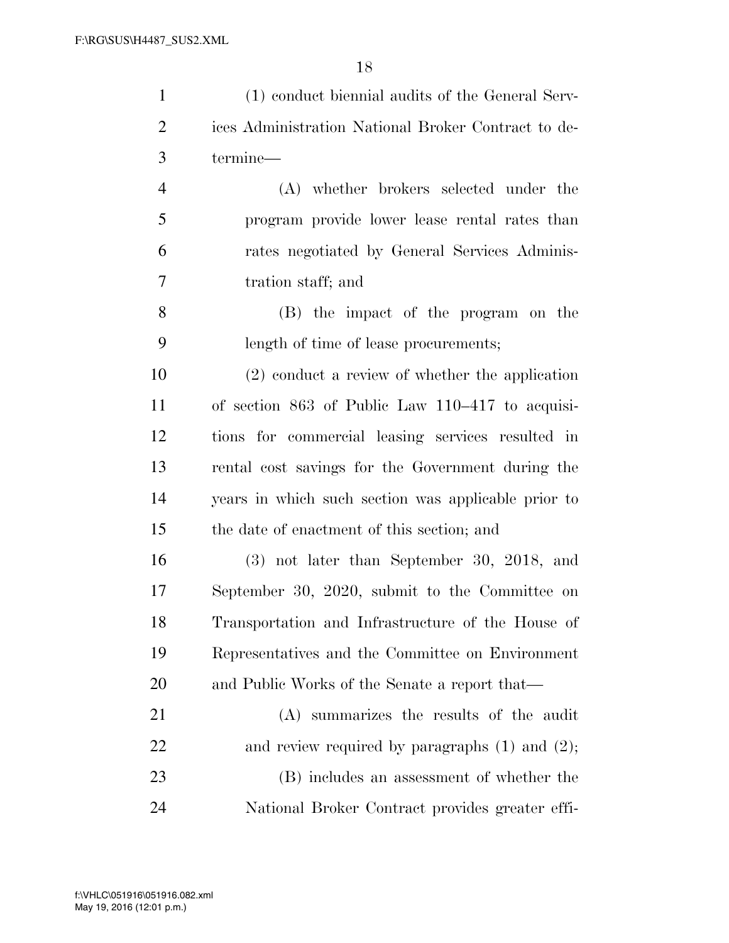| $\mathbf{1}$   | (1) conduct biennial audits of the General Serv-    |
|----------------|-----------------------------------------------------|
| $\overline{2}$ | ices Administration National Broker Contract to de- |
| 3              | termine-                                            |
| $\overline{4}$ | (A) whether brokers selected under the              |
| 5              | program provide lower lease rental rates than       |
| 6              | rates negotiated by General Services Adminis-       |
| 7              | tration staff; and                                  |
| 8              | (B) the impact of the program on the                |
| 9              | length of time of lease procurements;               |
| 10             | $(2)$ conduct a review of whether the application   |
| 11             | of section 863 of Public Law 110–417 to acquisi-    |
| 12             | tions for commercial leasing services resulted in   |
| 13             | rental cost savings for the Government during the   |
| 14             | years in which such section was applicable prior to |
| 15             | the date of enactment of this section; and          |
| 16             | $(3)$ not later than September 30, 2018, and        |
| 17             | September 30, 2020, submit to the Committee on      |
| 18             | Transportation and Infrastructure of the House of   |
| 19             | Representatives and the Committee on Environment    |
| 20             | and Public Works of the Senate a report that—       |
| 21             | (A) summarizes the results of the audit             |
| 22             | and review required by paragraphs $(1)$ and $(2)$ ; |
| 23             | (B) includes an assessment of whether the           |
| 24             | National Broker Contract provides greater effi-     |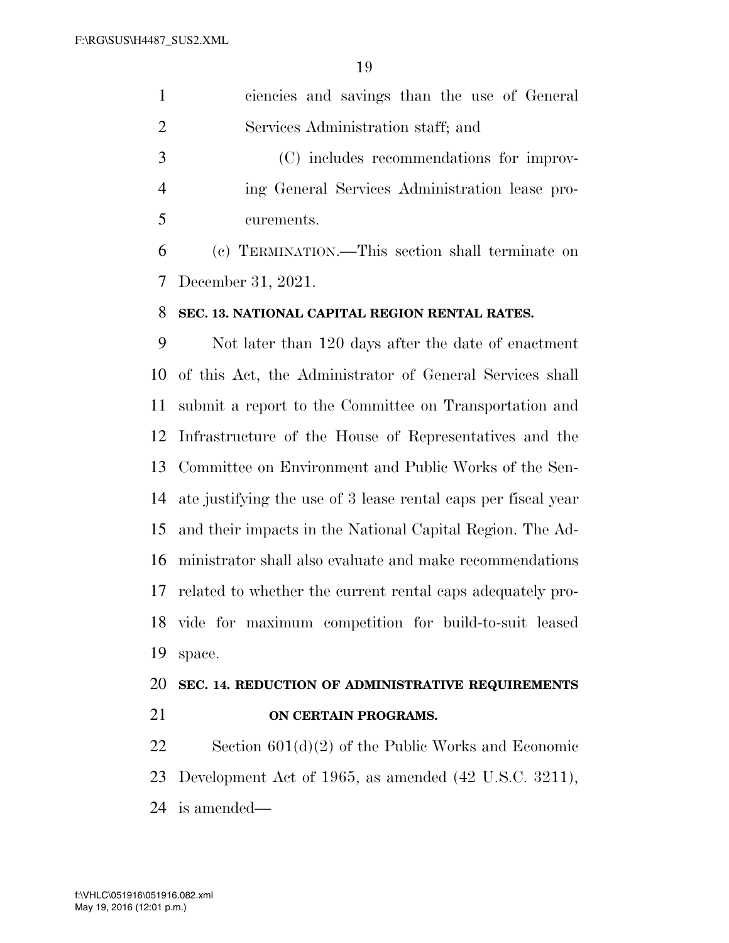|               | ciencies and savings than the use of General     |
|---------------|--------------------------------------------------|
| $\mathcal{L}$ | Services Administration staff; and               |
| -3            | (C) includes recommendations for improv-         |
|               | ing General Services Administration lease pro-   |
| -5            | curements.                                       |
| 6             | (c) TERMINATION.—This section shall terminate on |
|               | 7 December 31, 2021.                             |

# **SEC. 13. NATIONAL CAPITAL REGION RENTAL RATES.**

 Not later than 120 days after the date of enactment of this Act, the Administrator of General Services shall submit a report to the Committee on Transportation and Infrastructure of the House of Representatives and the Committee on Environment and Public Works of the Sen- ate justifying the use of 3 lease rental caps per fiscal year and their impacts in the National Capital Region. The Ad- ministrator shall also evaluate and make recommendations related to whether the current rental caps adequately pro- vide for maximum competition for build-to-suit leased space.

# **SEC. 14. REDUCTION OF ADMINISTRATIVE REQUIREMENTS**

**ON CERTAIN PROGRAMS.** 

 Section 601(d)(2) of the Public Works and Economic Development Act of 1965, as amended (42 U.S.C. 3211), is amended—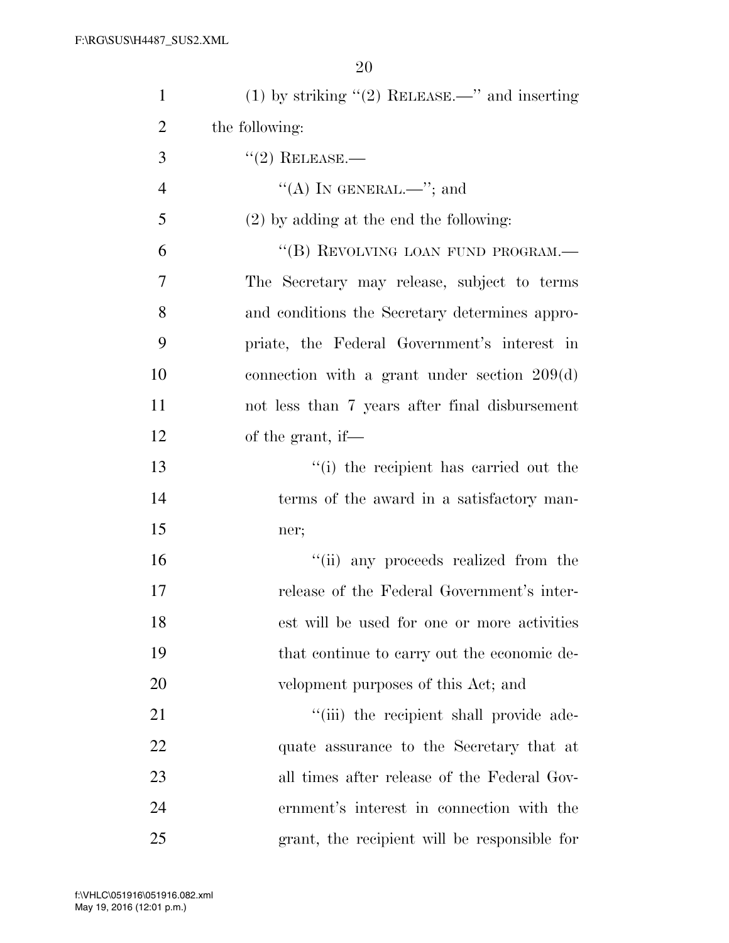| $\mathbf{1}$   | (1) by striking $\lq(2)$ RELEASE.—" and inserting |
|----------------|---------------------------------------------------|
| $\overline{2}$ | the following:                                    |
| 3              | $(2)$ RELEASE.—                                   |
| $\overline{4}$ | "(A) IN GENERAL.—"; and                           |
| 5              | $(2)$ by adding at the end the following:         |
| 6              | "(B) REVOLVING LOAN FUND PROGRAM.-                |
| 7              | The Secretary may release, subject to terms       |
| 8              | and conditions the Secretary determines appro-    |
| 9              | priate, the Federal Government's interest in      |
| 10             | connection with a grant under section $209(d)$    |
| 11             | not less than 7 years after final disbursement    |
| 12             | of the grant, if—                                 |
| 13             | "(i) the recipient has carried out the            |
| 14             | terms of the award in a satisfactory man-         |
| 15             | ner;                                              |
| 16             | "(ii) any proceeds realized from the              |
| 17             | release of the Federal Government's inter-        |
| 18             | est will be used for one or more activities       |
| 19             | that continue to carry out the economic de-       |
| 20             | velopment purposes of this Act; and               |
| 21             | "(iii) the recipient shall provide ade-           |
| 22             | quate assurance to the Secretary that at          |
| 23             | all times after release of the Federal Gov-       |
| 24             | ernment's interest in connection with the         |
| 25             | grant, the recipient will be responsible for      |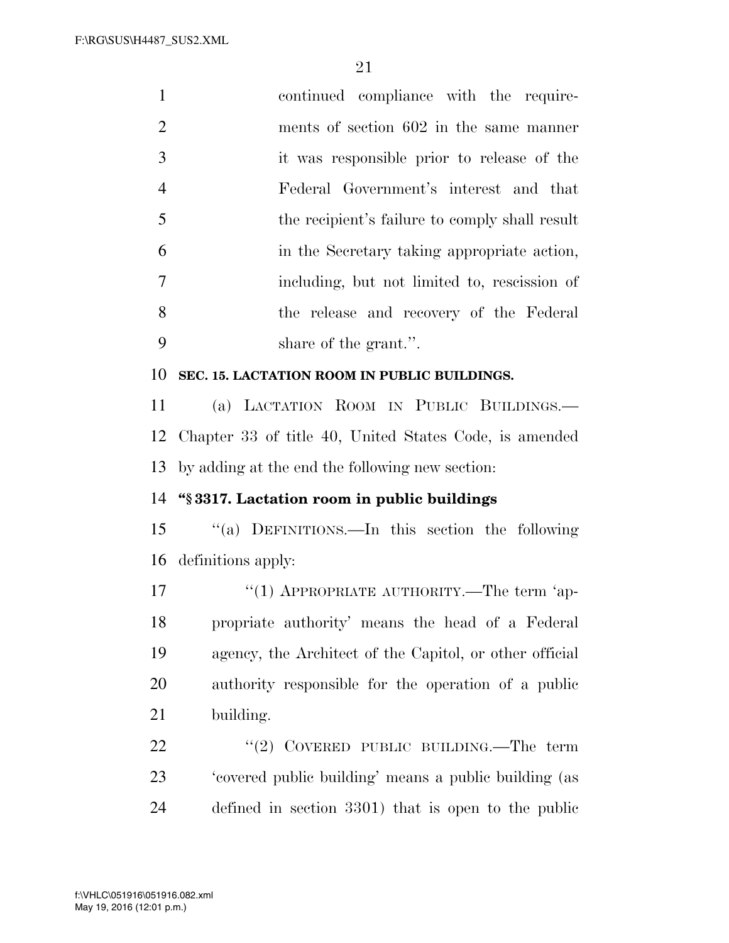| $\mathbf{1}$   | continued compliance with the require-                  |
|----------------|---------------------------------------------------------|
| $\overline{2}$ | ments of section 602 in the same manner                 |
| 3              | it was responsible prior to release of the              |
| $\overline{4}$ | Federal Government's interest and that                  |
| 5              | the recipient's failure to comply shall result          |
| 6              | in the Secretary taking appropriate action,             |
| $\tau$         | including, but not limited to, rescission of            |
| 8              | the release and recovery of the Federal                 |
| 9              | share of the grant.".                                   |
| 10             | SEC. 15. LACTATION ROOM IN PUBLIC BUILDINGS.            |
| 11             | (a) LACTATION ROOM IN PUBLIC BUILDINGS.                 |
| 12             | Chapter 33 of title 40, United States Code, is amended  |
| 13             | by adding at the end the following new section:         |
| 14             | "§3317. Lactation room in public buildings              |
| 15             | "(a) DEFINITIONS.—In this section the following         |
|                | 16 definitions apply:                                   |
| 17             | "(1) APPROPRIATE AUTHORITY.—The term 'ap-               |
| 18             | propriate authority' means the head of a Federal        |
| 19             | agency, the Architect of the Capitol, or other official |
| 20             | authority responsible for the operation of a public     |
| 21             | building.                                               |
| 22             | "(2) COVERED PUBLIC BUILDING.—The term                  |
| 23             | 'covered public building' means a public building (as   |
| 24             | defined in section 3301) that is open to the public     |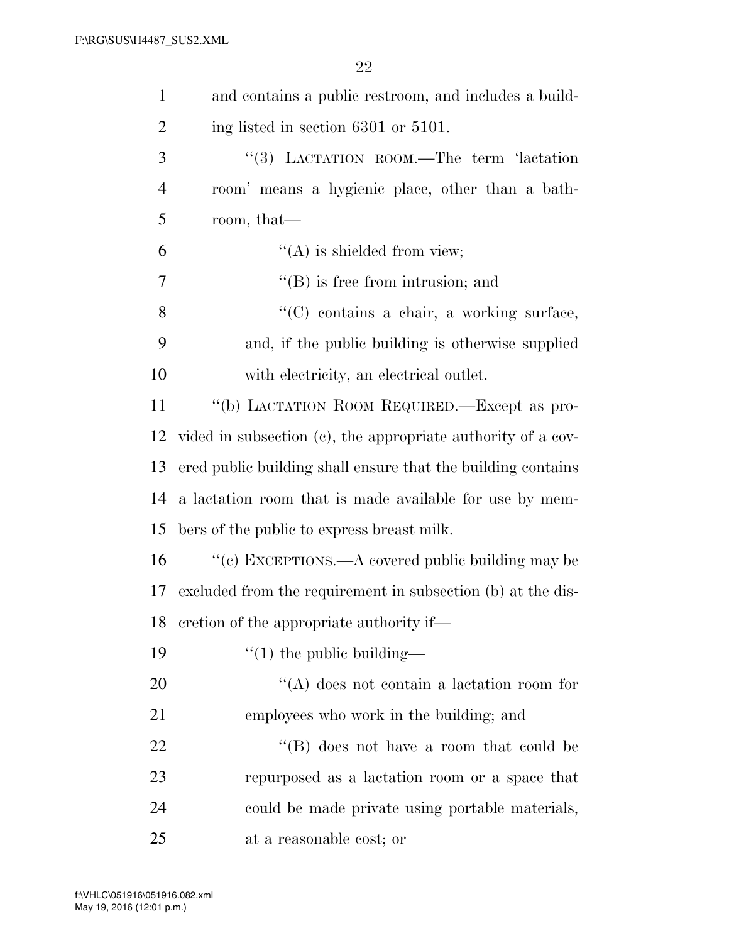| $\mathbf{1}$   | and contains a public restroom, and includes a build-        |
|----------------|--------------------------------------------------------------|
| $\overline{2}$ | ing listed in section 6301 or 5101.                          |
| 3              | "(3) LACTATION ROOM.—The term 'lactation                     |
| $\overline{4}$ | room' means a hygienic place, other than a bath-             |
| 5              | room, that—                                                  |
| 6              | $\lq\lq$ is shielded from view;                              |
| 7              | $\lq\lq$ (B) is free from intrusion; and                     |
| 8              | "(C) contains a chair, a working surface,                    |
| 9              | and, if the public building is otherwise supplied            |
| 10             | with electricity, an electrical outlet.                      |
| 11             | "(b) LACTATION ROOM REQUIRED.—Except as pro-                 |
| 12             | vided in subsection (c), the appropriate authority of a cov- |
| 13             | ered public building shall ensure that the building contains |
| 14             | a lactation room that is made available for use by mem-      |
| 15             | bers of the public to express breast milk.                   |
| 16             | "(c) EXCEPTIONS.—A covered public building may be            |
| 17             | excluded from the requirement in subsection (b) at the dis-  |
|                | 18 cretion of the appropriate authority if—                  |
| 19             | $\lq(1)$ the public building—                                |
| 20             | "(A) does not contain a lactation room for                   |
| 21             | employees who work in the building; and                      |
| 22             | "(B) does not have a room that could be                      |
| 23             | repurposed as a lactation room or a space that               |
| 24             | could be made private using portable materials,              |
| 25             | at a reasonable cost; or                                     |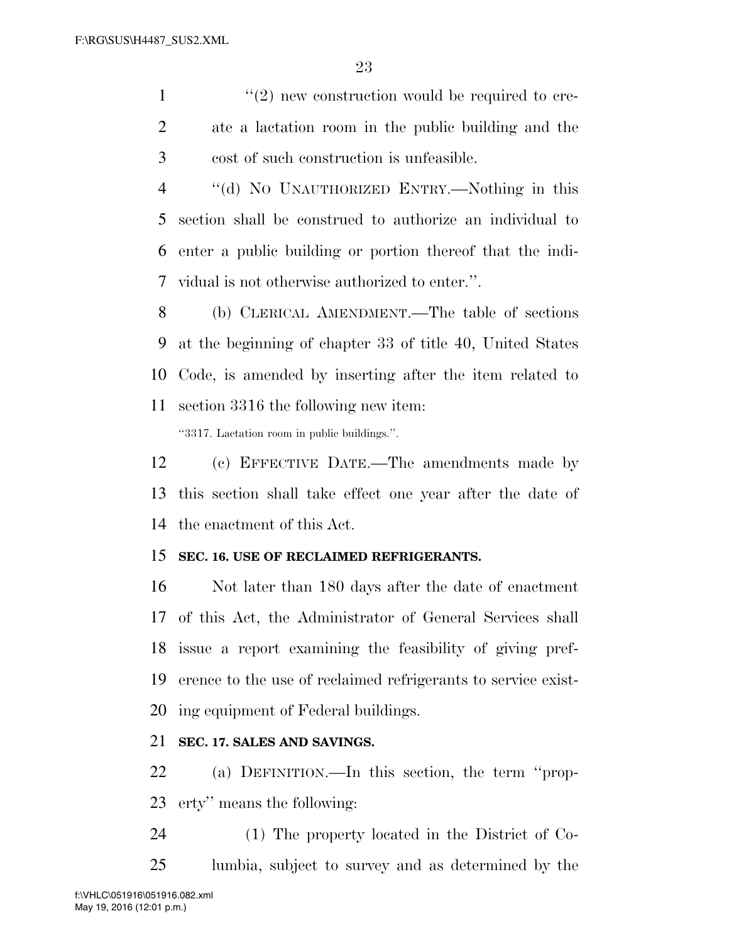$\mathcal{L}(2)$  new construction would be required to cre- ate a lactation room in the public building and the cost of such construction is unfeasible.

 ''(d) NO UNAUTHORIZED ENTRY.—Nothing in this section shall be construed to authorize an individual to enter a public building or portion thereof that the indi-vidual is not otherwise authorized to enter.''.

 (b) CLERICAL AMENDMENT.—The table of sections at the beginning of chapter 33 of title 40, United States Code, is amended by inserting after the item related to section 3316 the following new item:

''3317. Lactation room in public buildings.''.

 (c) EFFECTIVE DATE.—The amendments made by this section shall take effect one year after the date of the enactment of this Act.

### **SEC. 16. USE OF RECLAIMED REFRIGERANTS.**

 Not later than 180 days after the date of enactment of this Act, the Administrator of General Services shall issue a report examining the feasibility of giving pref- erence to the use of reclaimed refrigerants to service exist-ing equipment of Federal buildings.

# **SEC. 17. SALES AND SAVINGS.**

 (a) DEFINITION.—In this section, the term ''prop-erty'' means the following:

 (1) The property located in the District of Co-lumbia, subject to survey and as determined by the